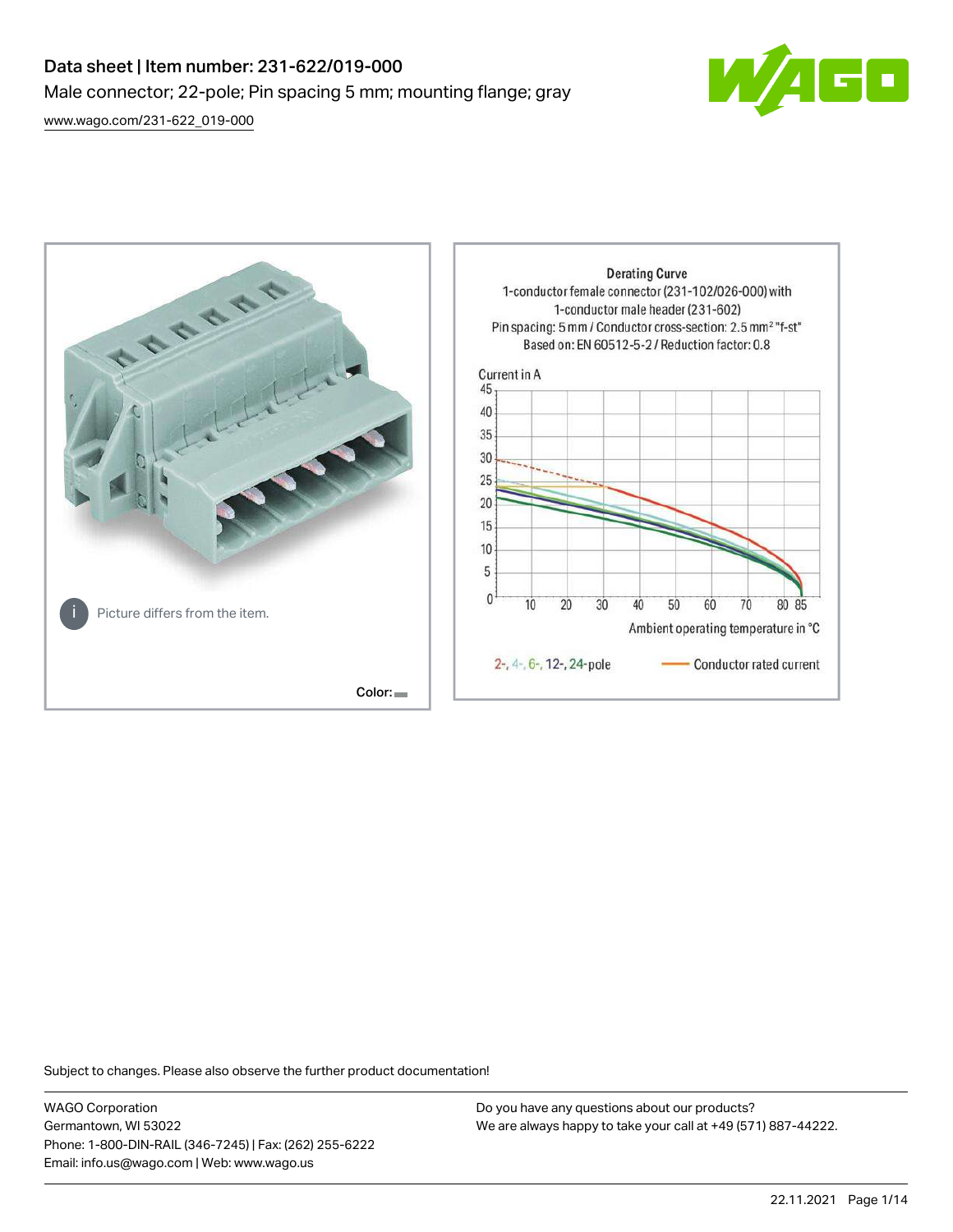# Data sheet | Item number: 231-622/019-000 Male connector; 22-pole; Pin spacing 5 mm; mounting flange; gray

[www.wago.com/231-622\\_019-000](http://www.wago.com/231-622_019-000)





Subject to changes. Please also observe the further product documentation!

WAGO Corporation Germantown, WI 53022 Phone: 1-800-DIN-RAIL (346-7245) | Fax: (262) 255-6222 Email: info.us@wago.com | Web: www.wago.us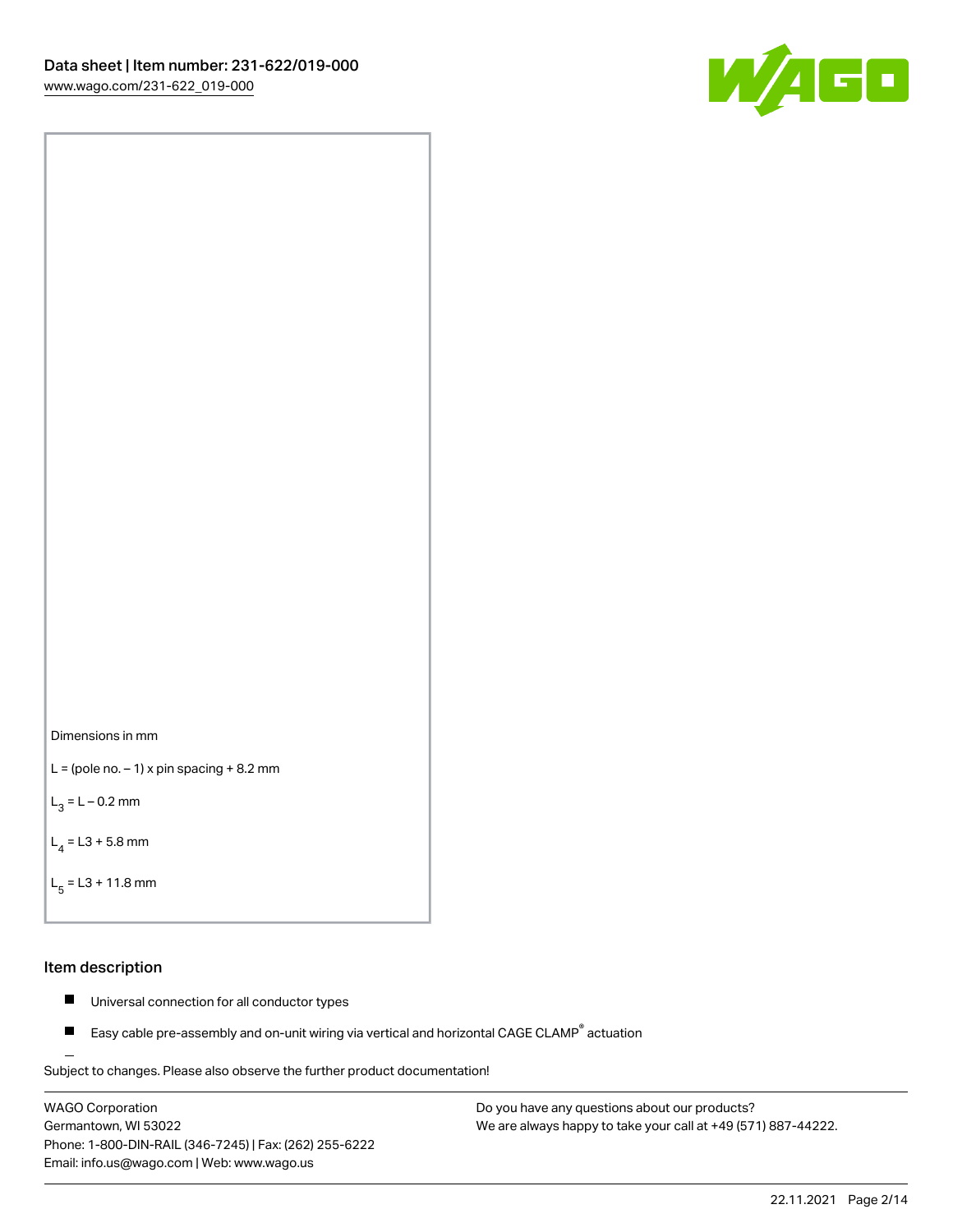



```
L = (pole no. -1) x pin spacing +8.2 mm
```
 $L_3 = L - 0.2$  mm

```
L_4 = L3 + 5.8 mm
```

```
L_{\rm g} = L3 + 11.8 mm
```
#### Item description

- $\blacksquare$ Universal connection for all conductor types
- Easy cable pre-assembly and on-unit wiring via vertical and horizontal CAGE CLAMP<sup>®</sup> actuation  $\blacksquare$

Subject to changes. Please also observe the further product documentation! For wire-to-wire and board-to-wire connections

WAGO Corporation Germantown, WI 53022 Phone: 1-800-DIN-RAIL (346-7245) | Fax: (262) 255-6222 Email: info.us@wago.com | Web: www.wago.us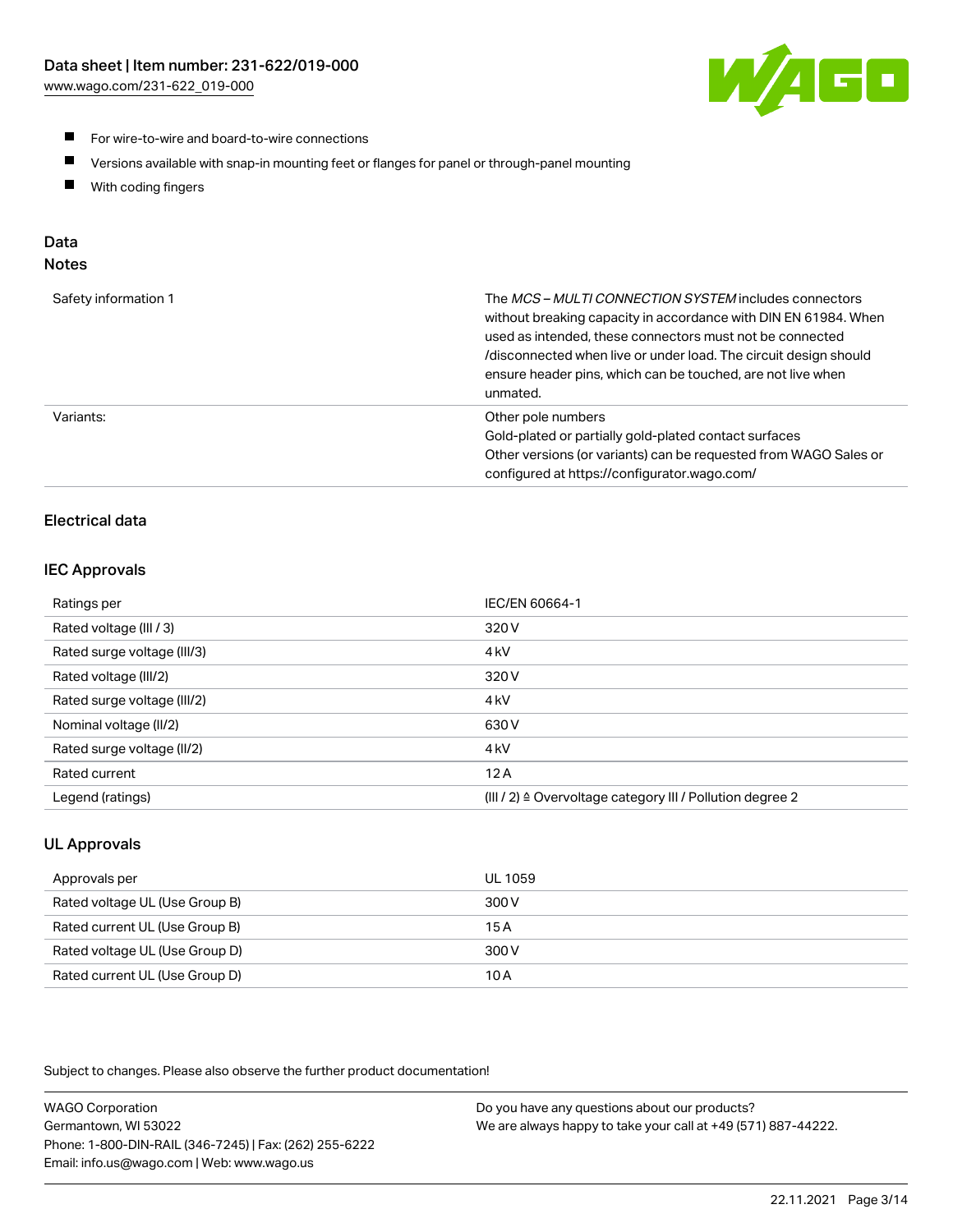

- **For wire-to-wire and board-to-wire connections**
- $\blacksquare$ Versions available with snap-in mounting feet or flanges for panel or through-panel mounting
- $\blacksquare$ With coding fingers

# Data

# Notes

| Safety information 1 | The MCS-MULTI CONNECTION SYSTEM includes connectors<br>without breaking capacity in accordance with DIN EN 61984. When<br>used as intended, these connectors must not be connected<br>/disconnected when live or under load. The circuit design should<br>ensure header pins, which can be touched, are not live when<br>unmated. |
|----------------------|-----------------------------------------------------------------------------------------------------------------------------------------------------------------------------------------------------------------------------------------------------------------------------------------------------------------------------------|
| Variants:            | Other pole numbers<br>Gold-plated or partially gold-plated contact surfaces<br>Other versions (or variants) can be requested from WAGO Sales or<br>configured at https://configurator.wago.com/                                                                                                                                   |

# Electrical data

## IEC Approvals

| Ratings per                 | IEC/EN 60664-1                                                        |
|-----------------------------|-----------------------------------------------------------------------|
| Rated voltage (III / 3)     | 320 V                                                                 |
| Rated surge voltage (III/3) | 4 <sub>k</sub> V                                                      |
| Rated voltage (III/2)       | 320 V                                                                 |
| Rated surge voltage (III/2) | 4 <sub>k</sub> V                                                      |
| Nominal voltage (II/2)      | 630 V                                                                 |
| Rated surge voltage (II/2)  | 4 <sub>k</sub> V                                                      |
| Rated current               | 12A                                                                   |
| Legend (ratings)            | $(III / 2)$ $\triangle$ Overvoltage category III / Pollution degree 2 |

# UL Approvals

| Approvals per                  | UL 1059 |
|--------------------------------|---------|
| Rated voltage UL (Use Group B) | 300 V   |
| Rated current UL (Use Group B) | 15 A    |
| Rated voltage UL (Use Group D) | 300 V   |
| Rated current UL (Use Group D) | 10 A    |

Subject to changes. Please also observe the further product documentation!

| <b>WAGO Corporation</b>                                | Do you have any questions about our products?                 |
|--------------------------------------------------------|---------------------------------------------------------------|
| Germantown, WI 53022                                   | We are always happy to take your call at +49 (571) 887-44222. |
| Phone: 1-800-DIN-RAIL (346-7245)   Fax: (262) 255-6222 |                                                               |
| Email: info.us@wago.com   Web: www.wago.us             |                                                               |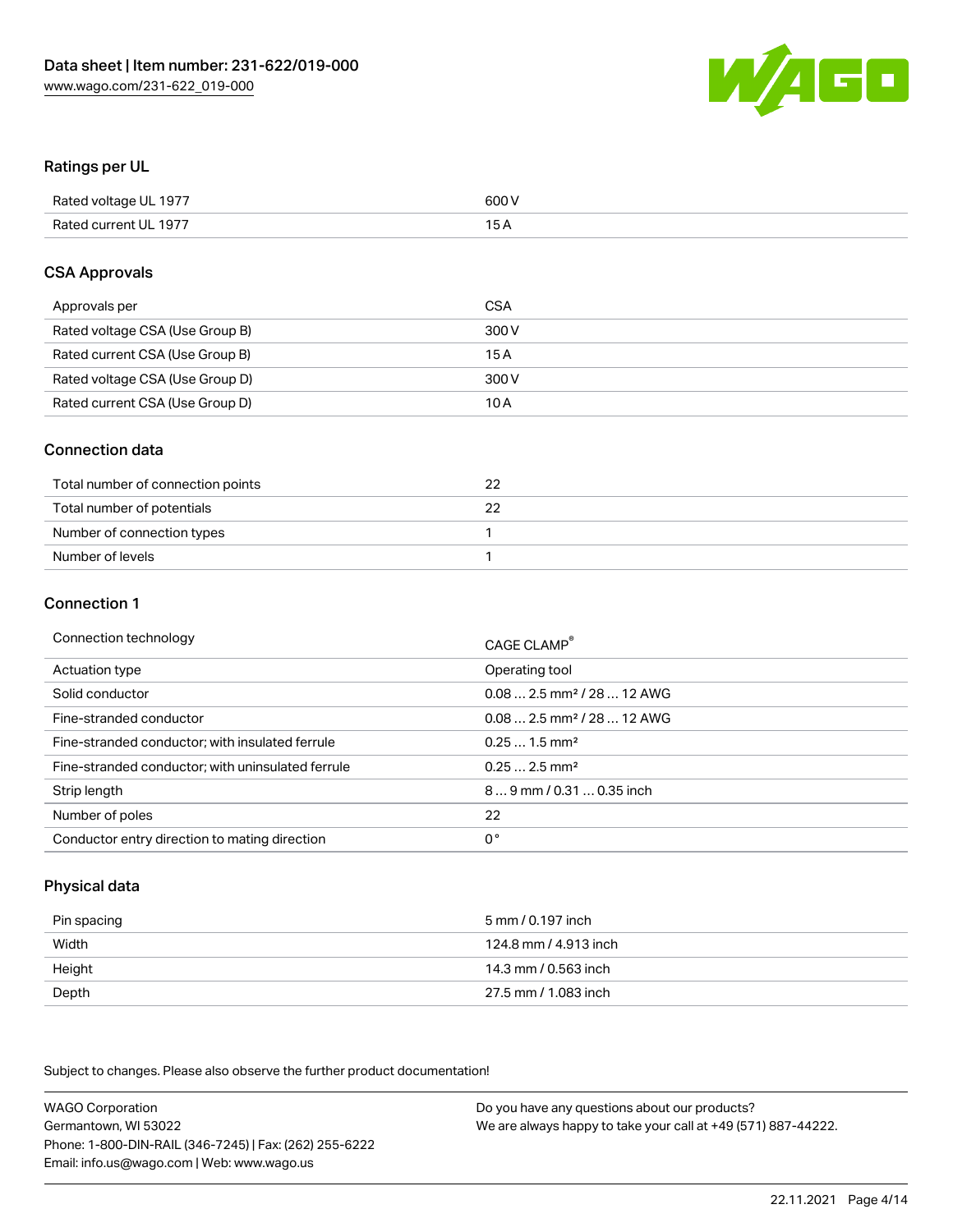

#### Ratings per UL

| Rated voltage UL 1977 | 600 V |
|-----------------------|-------|
| Rated current UL 1977 | 1 E   |

#### CSA Approvals

| Approvals per                   | CSA   |
|---------------------------------|-------|
| Rated voltage CSA (Use Group B) | 300 V |
| Rated current CSA (Use Group B) | 15 A  |
| Rated voltage CSA (Use Group D) | 300 V |
| Rated current CSA (Use Group D) | 10 A  |

#### Connection data

| Total number of connection points |  |
|-----------------------------------|--|
| Total number of potentials        |  |
| Number of connection types        |  |
| Number of levels                  |  |

#### Connection 1

| Connection technology                             | CAGE CLAMP <sup>®</sup>                |
|---------------------------------------------------|----------------------------------------|
| Actuation type                                    | Operating tool                         |
| Solid conductor                                   | $0.082.5$ mm <sup>2</sup> / 28  12 AWG |
| Fine-stranded conductor                           | $0.082.5$ mm <sup>2</sup> / 28  12 AWG |
| Fine-stranded conductor; with insulated ferrule   | $0.251.5$ mm <sup>2</sup>              |
| Fine-stranded conductor; with uninsulated ferrule | $0.252.5$ mm <sup>2</sup>              |
| Strip length                                      | 89 mm / 0.31  0.35 inch                |
| Number of poles                                   | 22                                     |
| Conductor entry direction to mating direction     | 0°                                     |

# Physical data

| Pin spacing | 5 mm / 0.197 inch     |
|-------------|-----------------------|
| Width       | 124.8 mm / 4.913 inch |
| Height      | 14.3 mm / 0.563 inch  |
| Depth       | 27.5 mm / 1.083 inch  |

Subject to changes. Please also observe the further product documentation!

WAGO Corporation Germantown, WI 53022 Phone: 1-800-DIN-RAIL (346-7245) | Fax: (262) 255-6222 Email: info.us@wago.com | Web: www.wago.us Do you have any questions about our products? We are always happy to take your call at +49 (571) 887-44222.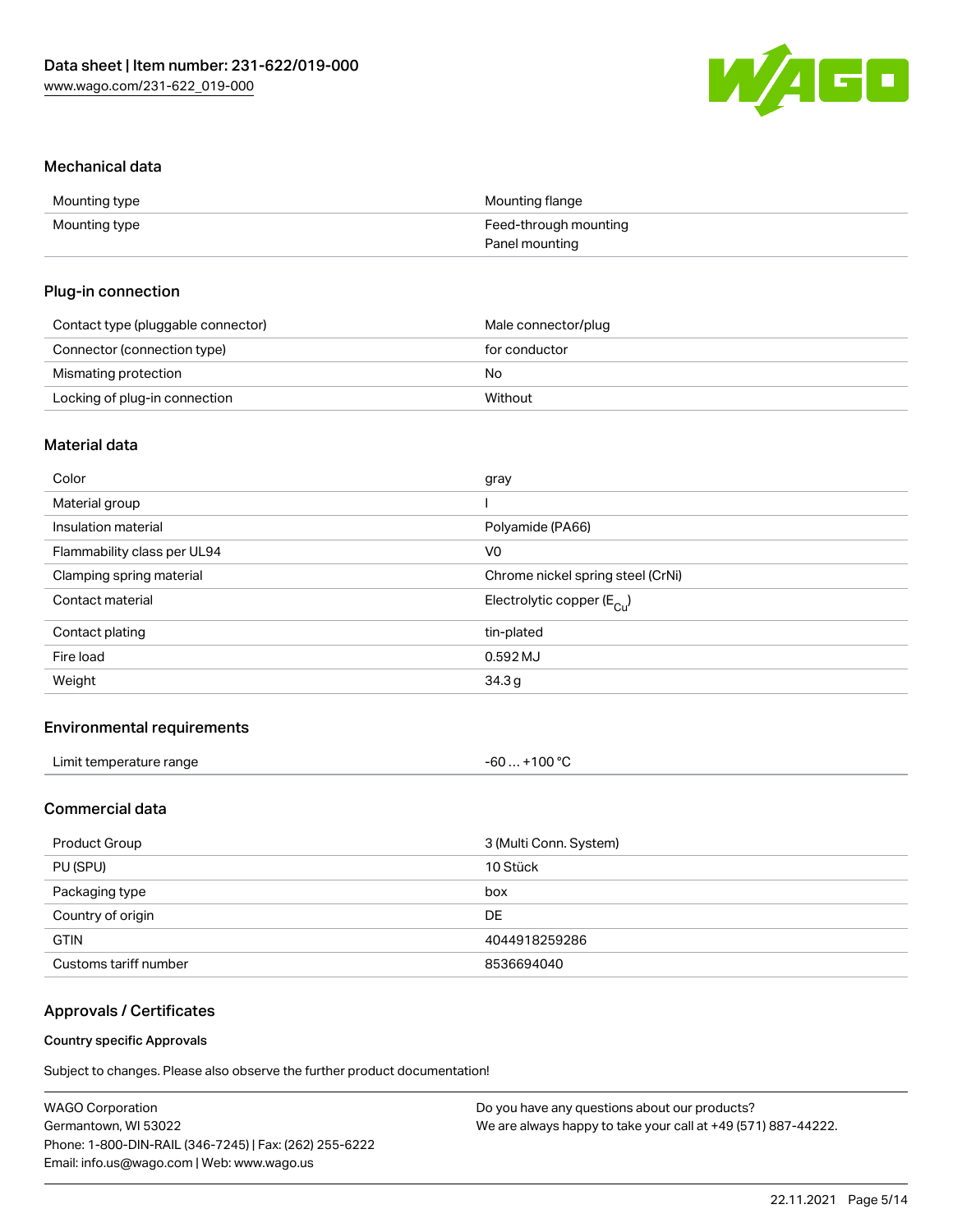

#### Mechanical data

| Mounting type | Mounting flange       |
|---------------|-----------------------|
| Mounting type | Feed-through mounting |
|               | Panel mounting        |

#### Plug-in connection

| Contact type (pluggable connector) | Male connector/plug |
|------------------------------------|---------------------|
| Connector (connection type)        | for conductor       |
| Mismating protection               | No                  |
| Locking of plug-in connection      | Without             |

# Material data

| Color                       | gray                                  |
|-----------------------------|---------------------------------------|
| Material group              |                                       |
| Insulation material         | Polyamide (PA66)                      |
| Flammability class per UL94 | V0                                    |
| Clamping spring material    | Chrome nickel spring steel (CrNi)     |
| Contact material            | Electrolytic copper $(E_{\text{Cl}})$ |
| Contact plating             | tin-plated                            |
| Fire load                   | 0.592 MJ                              |
| Weight                      | 34.3g                                 |
|                             |                                       |

## Environmental requirements

| Limit temperature range | $-60+100 °C$ |
|-------------------------|--------------|
|-------------------------|--------------|

# Commercial data

| Product Group         | 3 (Multi Conn. System) |
|-----------------------|------------------------|
| PU (SPU)              | 10 Stück               |
| Packaging type        | box                    |
| Country of origin     | DE.                    |
| <b>GTIN</b>           | 4044918259286          |
| Customs tariff number | 8536694040             |

# Approvals / Certificates

#### Country specific Approvals

Subject to changes. Please also observe the further product documentation!

| <b>WAGO Corporation</b>                                | Do you have any questions about our products?                 |
|--------------------------------------------------------|---------------------------------------------------------------|
| Germantown, WI 53022                                   | We are always happy to take your call at +49 (571) 887-44222. |
| Phone: 1-800-DIN-RAIL (346-7245)   Fax: (262) 255-6222 |                                                               |
| Email: info.us@wago.com   Web: www.wago.us             |                                                               |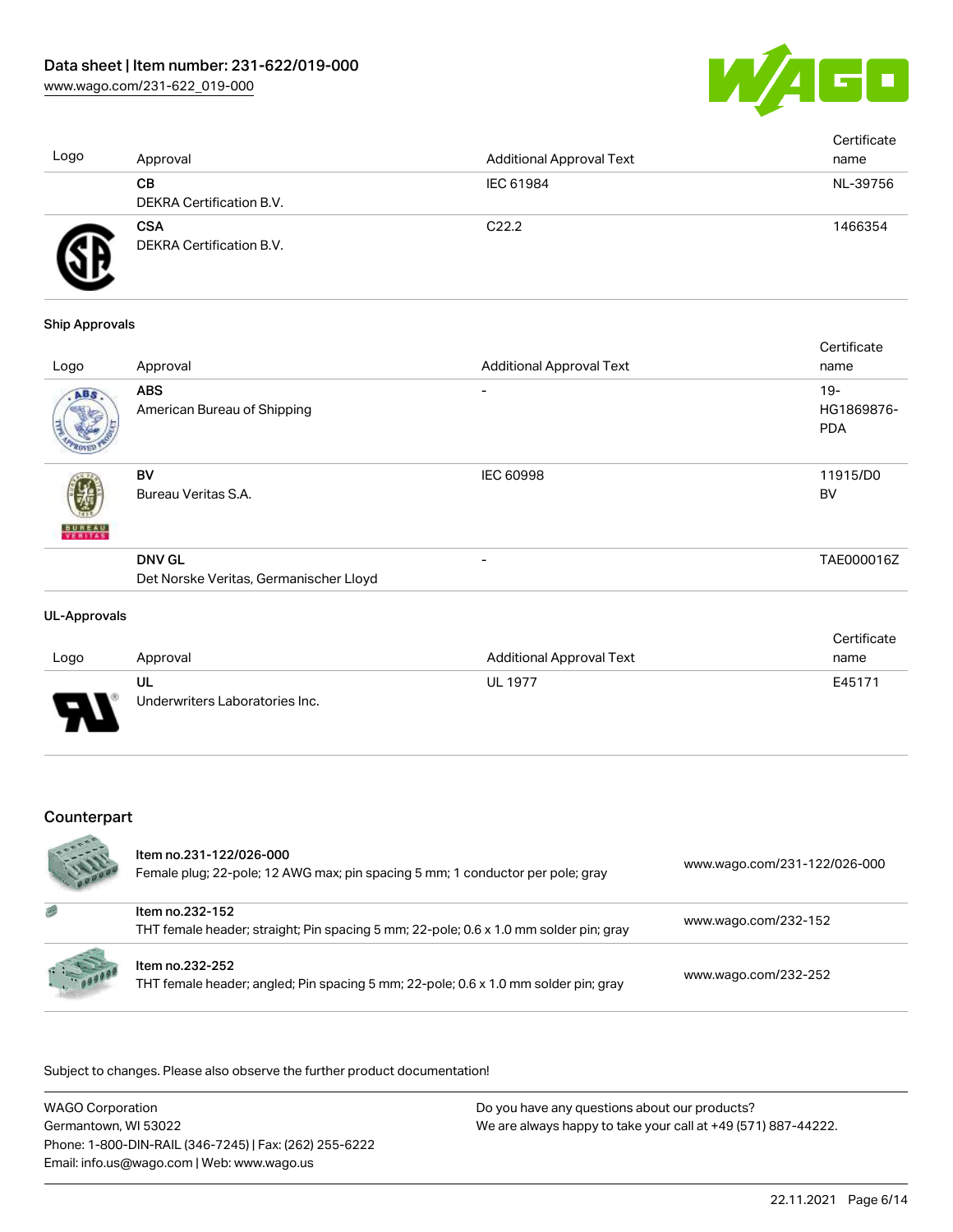

| Logo | Approval                               | <b>Additional Approval Text</b> | Certificate<br>name |
|------|----------------------------------------|---------------------------------|---------------------|
|      | CВ<br>DEKRA Certification B.V.         | IEC 61984                       | NL-39756            |
| Ð    | <b>CSA</b><br>DEKRA Certification B.V. | C <sub>22.2</sub>               | 1466354             |

#### Ship Approvals

| Logo          | Approval                                  | <b>Additional Approval Text</b> | Certificate<br>name                |
|---------------|-------------------------------------------|---------------------------------|------------------------------------|
| ABS           | <b>ABS</b><br>American Bureau of Shipping | -                               | $19 -$<br>HG1869876-<br><b>PDA</b> |
| <b>BUREAU</b> | BV<br>Bureau Veritas S.A.                 | IEC 60998                       | 11915/D0<br>BV                     |
|               | <b>DNV GL</b>                             | $\overline{\phantom{0}}$        | TAE000016Z                         |
|               | Det Norske Veritas, Germanischer Lloyd    |                                 |                                    |

#### UL-Approvals

|      |                                |                          | Certificate |
|------|--------------------------------|--------------------------|-------------|
| Logo | Approval                       | Additional Approval Text | name        |
|      | UL                             | <b>UL 1977</b>           | E45171      |
| J    | Underwriters Laboratories Inc. |                          |             |

# Counterpart

|   | Item no.231-122/026-000<br>Female plug; 22-pole; 12 AWG max; pin spacing 5 mm; 1 conductor per pole; gray | www.wago.com/231-122/026-000 |
|---|-----------------------------------------------------------------------------------------------------------|------------------------------|
| 感 | Item no.232-152<br>THT female header; straight; Pin spacing 5 mm; 22-pole; 0.6 x 1.0 mm solder pin; gray  | www.wago.com/232-152         |
|   | Item no.232-252<br>THT female header; angled; Pin spacing 5 mm; 22-pole; 0.6 x 1.0 mm solder pin; gray    | www.wago.com/232-252         |

.<br>Subject to changes. Please also observe the further product documentation!

| <b>WAGO Corporation</b>                                | Do you have any questions about our products?                 |
|--------------------------------------------------------|---------------------------------------------------------------|
| Germantown, WI 53022                                   | We are always happy to take your call at +49 (571) 887-44222. |
| Phone: 1-800-DIN-RAIL (346-7245)   Fax: (262) 255-6222 |                                                               |
| Email: info.us@wago.com   Web: www.wago.us             |                                                               |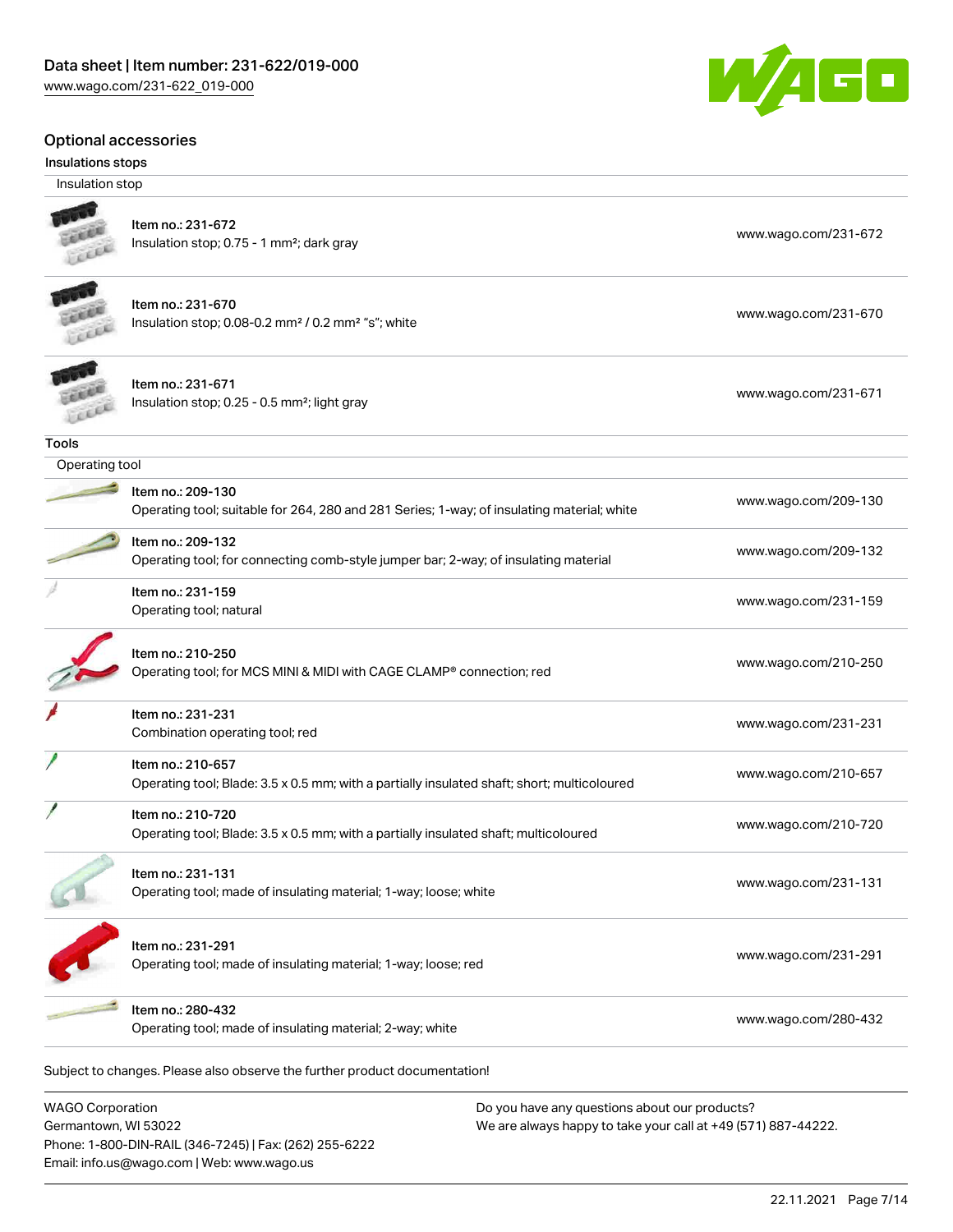#### Optional accessories

#### Insulations stops

Insulation stop



**Tools** 

| ltem no.: 231-670                                                               | www.wago.com/231-670 |
|---------------------------------------------------------------------------------|----------------------|
| Insulation stop; $0.08$ -0.2 mm <sup>2</sup> / $0.2$ mm <sup>2</sup> "s"; white |                      |





Item no.: 231-159

Item no.: 210-720

| Operating tool |                                                                                                                 |                      |
|----------------|-----------------------------------------------------------------------------------------------------------------|----------------------|
|                | Item no.: 209-130<br>Operating tool; suitable for 264, 280 and 281 Series; 1-way; of insulating material; white | www.wago.com/209-130 |
|                | Item no.: 209-132<br>Operating tool; for connecting comb-style jumper bar; 2-way; of insulating material        | www.wago.com/209-132 |

| Item no.: 210-250<br>Operating tool; for MCS MINI & MIDI with CAGE CLAMP <sup>®</sup> connection; red | www.wago.com/210-250 |
|-------------------------------------------------------------------------------------------------------|----------------------|
| Item no.: 231-231<br>Combination operating tool; red                                                  | www.wago.com/231-231 |

Item no.: 210-657 Operating tool; Blade: 3.5 x 0.5 mm; with a partially insulated shaft; short; multicoloured [www.wago.com/210-657](http://www.wago.com/210-657)

# Operating tool; Blade: 3.5 x 0.5 mm; with a partially insulated shaft; multicoloured [www.wago.com/210-720](http://www.wago.com/210-720)

| ltem no.: 231-131                                                | www.wago.com/231-131 |
|------------------------------------------------------------------|----------------------|
| Operating tool; made of insulating material; 1-way; loose; white |                      |

Item no.: 231-291 Operating tool; made of insulating material; 1-way; loose; red [www.wago.com/231-291](http://www.wago.com/231-291)

# Item no.: 280-432

nem no... 260-432<br>Operating tool; made of insulating material; 2-way; white [www.wago.com/280-432](http://www.wago.com/280-432)

Next tool; natural [www.wago.com/231-159](http://www.wago.com/231-159)<br>Operating tool; natural

Subject to changes. Please also observe the further product documentation!

WAGO Corporation Germantown, WI 53022 Phone: 1-800-DIN-RAIL (346-7245) | Fax: (262) 255-6222 Email: info.us@wago.com | Web: www.wago.us

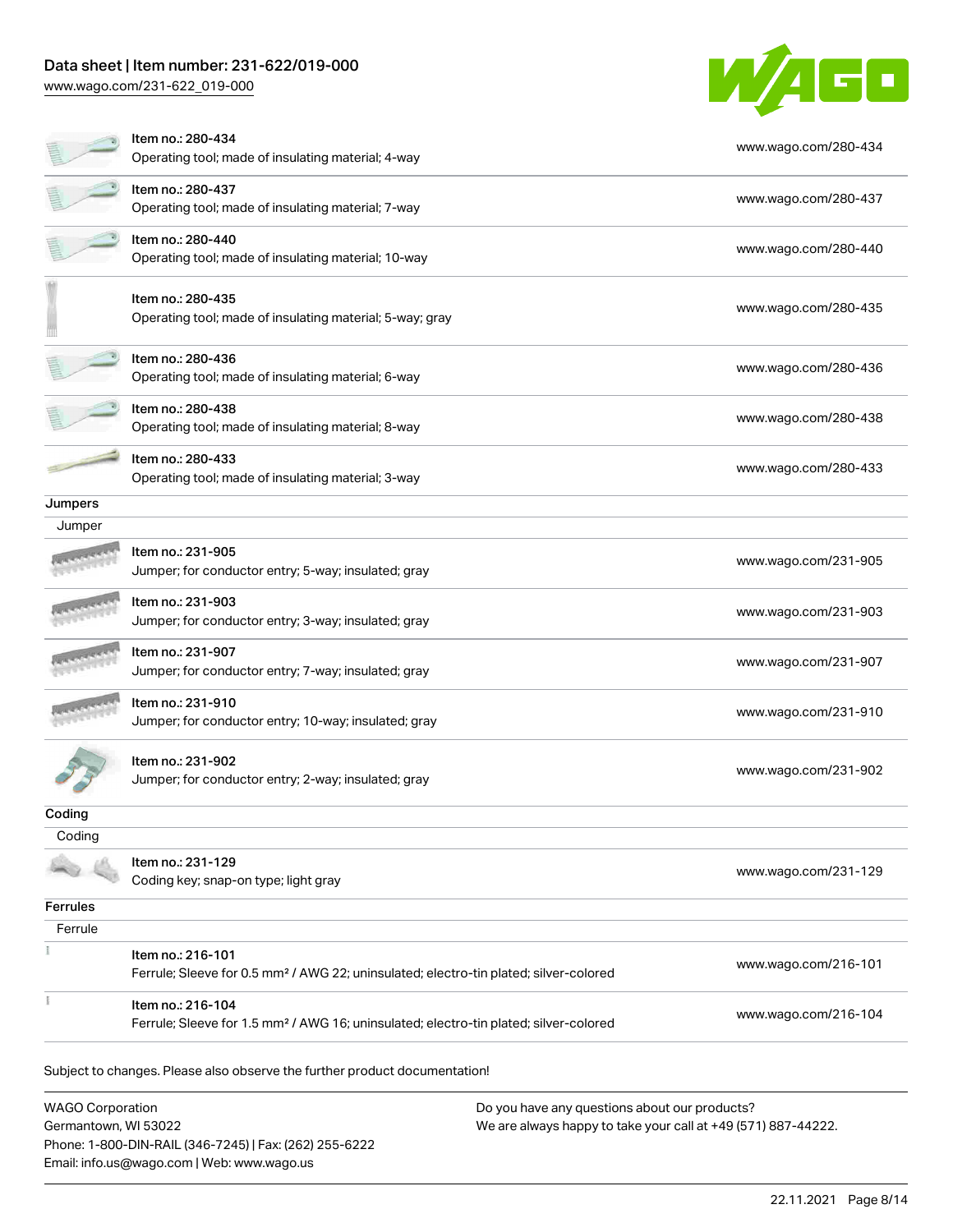Email: info.us@wago.com | Web: www.wago.us

[www.wago.com/231-622\\_019-000](http://www.wago.com/231-622_019-000)



|                                                 | Item no.: 280-434<br>Operating tool; made of insulating material; 4-way                                                | www.wago.com/280-434                                                                                           |                      |
|-------------------------------------------------|------------------------------------------------------------------------------------------------------------------------|----------------------------------------------------------------------------------------------------------------|----------------------|
|                                                 | Item no.: 280-437<br>Operating tool; made of insulating material; 7-way                                                |                                                                                                                | www.wago.com/280-437 |
|                                                 | Item no.: 280-440<br>Operating tool; made of insulating material; 10-way                                               |                                                                                                                | www.wago.com/280-440 |
|                                                 | Item no.: 280-435<br>Operating tool; made of insulating material; 5-way; gray                                          |                                                                                                                | www.wago.com/280-435 |
|                                                 | Item no.: 280-436<br>Operating tool; made of insulating material; 6-way                                                |                                                                                                                | www.wago.com/280-436 |
|                                                 | Item no.: 280-438<br>Operating tool; made of insulating material; 8-way                                                |                                                                                                                | www.wago.com/280-438 |
|                                                 | Item no.: 280-433<br>Operating tool; made of insulating material; 3-way                                                |                                                                                                                | www.wago.com/280-433 |
| Jumpers                                         |                                                                                                                        |                                                                                                                |                      |
| Jumper                                          |                                                                                                                        |                                                                                                                |                      |
|                                                 | Item no.: 231-905<br>Jumper; for conductor entry; 5-way; insulated; gray                                               |                                                                                                                | www.wago.com/231-905 |
|                                                 | Item no.: 231-903<br>Jumper; for conductor entry; 3-way; insulated; gray                                               |                                                                                                                | www.wago.com/231-903 |
|                                                 | Item no.: 231-907<br>Jumper; for conductor entry; 7-way; insulated; gray                                               |                                                                                                                | www.wago.com/231-907 |
|                                                 | Item no.: 231-910<br>Jumper; for conductor entry; 10-way; insulated; gray                                              |                                                                                                                | www.wago.com/231-910 |
|                                                 | Item no.: 231-902<br>Jumper; for conductor entry; 2-way; insulated; gray                                               |                                                                                                                | www.wago.com/231-902 |
| Coding                                          |                                                                                                                        |                                                                                                                |                      |
| Coding                                          |                                                                                                                        |                                                                                                                |                      |
|                                                 | Item no.: 231-129<br>Coding key; snap-on type; light gray                                                              |                                                                                                                | www.wago.com/231-129 |
| <b>Ferrules</b>                                 |                                                                                                                        |                                                                                                                |                      |
| Ferrule                                         |                                                                                                                        |                                                                                                                |                      |
|                                                 | Item no.: 216-101<br>Ferrule; Sleeve for 0.5 mm <sup>2</sup> / AWG 22; uninsulated; electro-tin plated; silver-colored |                                                                                                                | www.wago.com/216-101 |
|                                                 | Item no.: 216-104<br>Ferrule; Sleeve for 1.5 mm <sup>2</sup> / AWG 16; uninsulated; electro-tin plated; silver-colored |                                                                                                                | www.wago.com/216-104 |
|                                                 | Subject to changes. Please also observe the further product documentation!                                             |                                                                                                                |                      |
| <b>WAGO Corporation</b><br>Germantown, WI 53022 | Phone: 1-800-DIN-RAIL (346-7245)   Fax: (262) 255-6222                                                                 | Do you have any questions about our products?<br>We are always happy to take your call at +49 (571) 887-44222. |                      |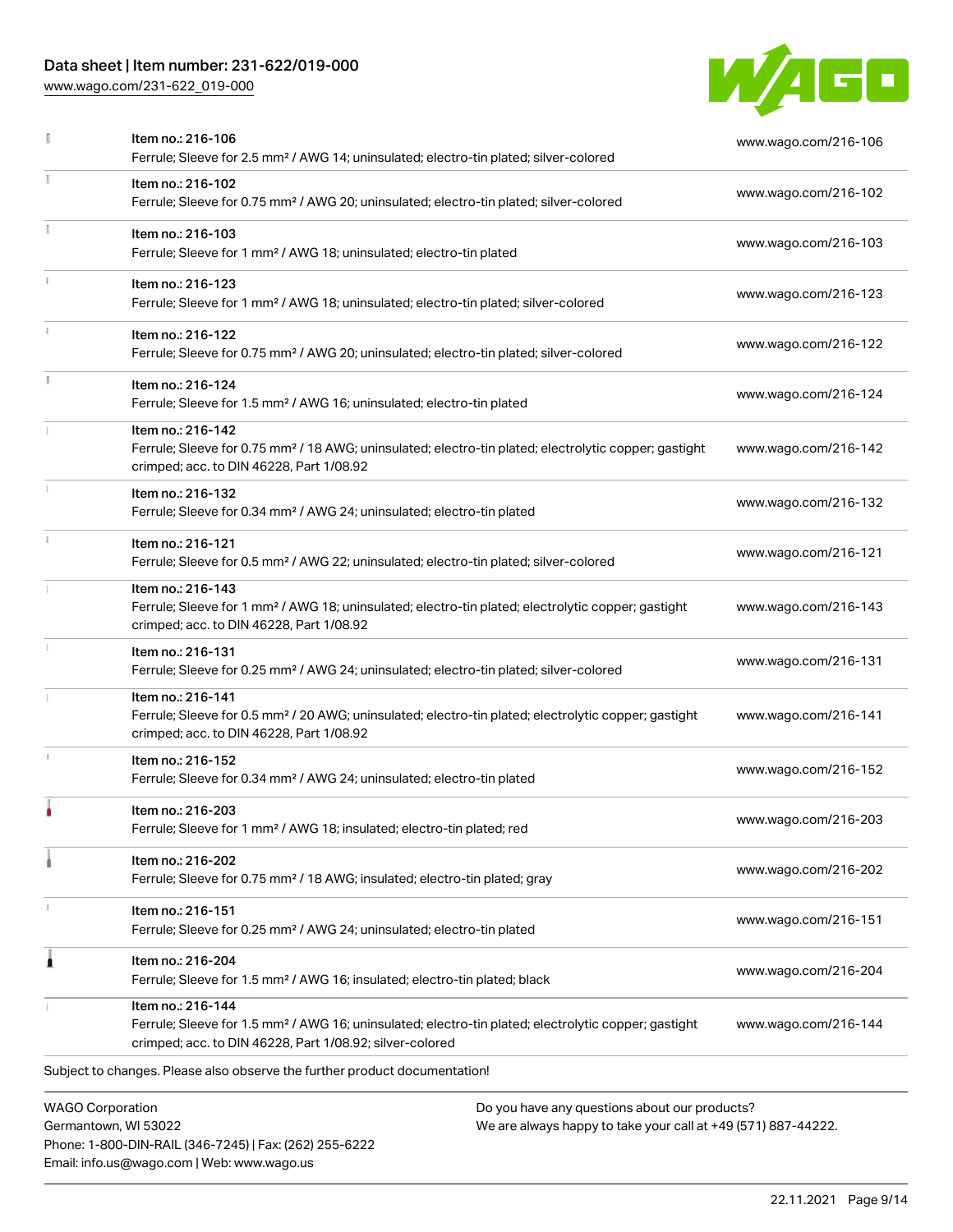Phone: 1-800-DIN-RAIL (346-7245) | Fax: (262) 255-6222

Email: info.us@wago.com | Web: www.wago.us

[www.wago.com/231-622\\_019-000](http://www.wago.com/231-622_019-000)



|                         | Item no.: 216-106<br>Ferrule; Sleeve for 2.5 mm <sup>2</sup> / AWG 14; uninsulated; electro-tin plated; silver-colored                                                                            |                                                                                                                | www.wago.com/216-106 |
|-------------------------|---------------------------------------------------------------------------------------------------------------------------------------------------------------------------------------------------|----------------------------------------------------------------------------------------------------------------|----------------------|
|                         | Item no.: 216-102<br>Ferrule; Sleeve for 0.75 mm <sup>2</sup> / AWG 20; uninsulated; electro-tin plated; silver-colored                                                                           |                                                                                                                | www.wago.com/216-102 |
|                         | Item no.: 216-103<br>Ferrule; Sleeve for 1 mm <sup>2</sup> / AWG 18; uninsulated; electro-tin plated                                                                                              |                                                                                                                | www.wago.com/216-103 |
|                         | Item no.: 216-123<br>Ferrule; Sleeve for 1 mm <sup>2</sup> / AWG 18; uninsulated; electro-tin plated; silver-colored                                                                              |                                                                                                                | www.wago.com/216-123 |
|                         | Item no.: 216-122<br>Ferrule; Sleeve for 0.75 mm <sup>2</sup> / AWG 20; uninsulated; electro-tin plated; silver-colored                                                                           |                                                                                                                | www.wago.com/216-122 |
|                         | Item no.: 216-124<br>Ferrule; Sleeve for 1.5 mm <sup>2</sup> / AWG 16; uninsulated; electro-tin plated                                                                                            |                                                                                                                | www.wago.com/216-124 |
|                         | Item no.: 216-142<br>Ferrule; Sleeve for 0.75 mm <sup>2</sup> / 18 AWG; uninsulated; electro-tin plated; electrolytic copper; gastight<br>crimped; acc. to DIN 46228, Part 1/08.92                |                                                                                                                | www.wago.com/216-142 |
|                         | Item no.: 216-132<br>Ferrule; Sleeve for 0.34 mm <sup>2</sup> / AWG 24; uninsulated; electro-tin plated                                                                                           |                                                                                                                | www.wago.com/216-132 |
| $\frac{1}{3}$           | Item no.: 216-121<br>Ferrule; Sleeve for 0.5 mm <sup>2</sup> / AWG 22; uninsulated; electro-tin plated; silver-colored                                                                            |                                                                                                                | www.wago.com/216-121 |
|                         | Item no.: 216-143<br>Ferrule; Sleeve for 1 mm <sup>2</sup> / AWG 18; uninsulated; electro-tin plated; electrolytic copper; gastight<br>crimped; acc. to DIN 46228, Part 1/08.92                   |                                                                                                                | www.wago.com/216-143 |
|                         | Item no.: 216-131<br>Ferrule; Sleeve for 0.25 mm <sup>2</sup> / AWG 24; uninsulated; electro-tin plated; silver-colored                                                                           |                                                                                                                | www.wago.com/216-131 |
|                         | Item no.: 216-141<br>Ferrule; Sleeve for 0.5 mm <sup>2</sup> / 20 AWG; uninsulated; electro-tin plated; electrolytic copper; gastight<br>crimped; acc. to DIN 46228, Part 1/08.92                 |                                                                                                                | www.wago.com/216-141 |
|                         | Item no.: 216-152<br>Ferrule; Sleeve for 0.34 mm <sup>2</sup> / AWG 24; uninsulated; electro-tin plated                                                                                           |                                                                                                                | www.wago.com/216-152 |
|                         | Item no.: 216-203<br>Ferrule; Sleeve for 1 mm <sup>2</sup> / AWG 18; insulated; electro-tin plated; red                                                                                           |                                                                                                                | www.wago.com/216-203 |
|                         | Item no.: 216-202<br>Ferrule; Sleeve for 0.75 mm <sup>2</sup> / 18 AWG; insulated; electro-tin plated; gray                                                                                       |                                                                                                                | www.wago.com/216-202 |
|                         | Item no.: 216-151<br>Ferrule; Sleeve for 0.25 mm <sup>2</sup> / AWG 24; uninsulated; electro-tin plated                                                                                           |                                                                                                                | www.wago.com/216-151 |
| 1                       | Item no.: 216-204<br>Ferrule; Sleeve for 1.5 mm <sup>2</sup> / AWG 16; insulated; electro-tin plated; black                                                                                       |                                                                                                                | www.wago.com/216-204 |
|                         | Item no.: 216-144<br>Ferrule; Sleeve for 1.5 mm <sup>2</sup> / AWG 16; uninsulated; electro-tin plated; electrolytic copper; gastight<br>crimped; acc. to DIN 46228, Part 1/08.92; silver-colored |                                                                                                                | www.wago.com/216-144 |
|                         | Subject to changes. Please also observe the further product documentation!                                                                                                                        |                                                                                                                |                      |
| <b>WAGO Corporation</b> | Germantown, WI 53022                                                                                                                                                                              | Do you have any questions about our products?<br>We are always happy to take your call at +49 (571) 887-44222. |                      |

22.11.2021 Page 9/14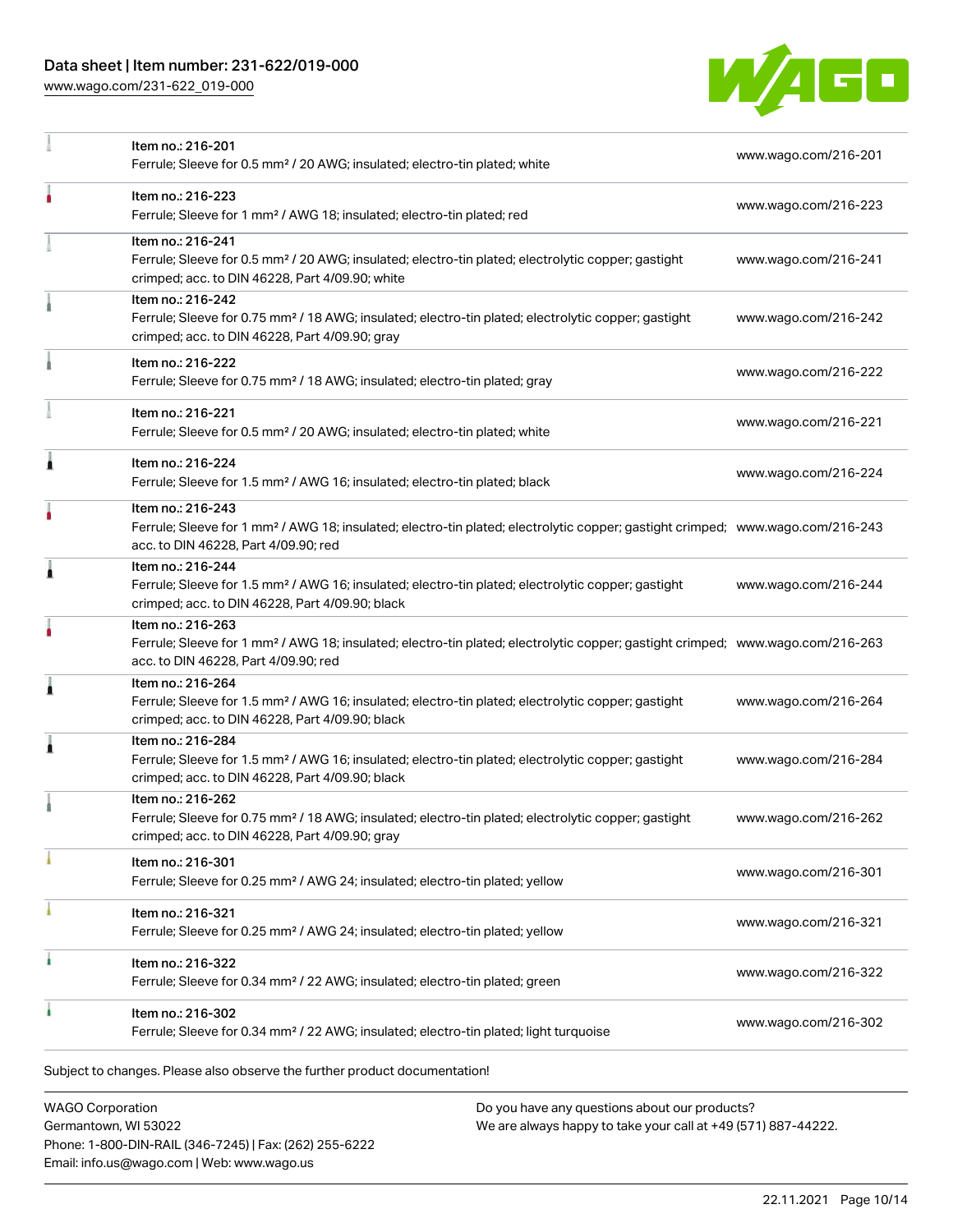[www.wago.com/231-622\\_019-000](http://www.wago.com/231-622_019-000)



|   | Item no.: 216-201<br>Ferrule; Sleeve for 0.5 mm <sup>2</sup> / 20 AWG; insulated; electro-tin plated; white                                                                                             | www.wago.com/216-201 |
|---|---------------------------------------------------------------------------------------------------------------------------------------------------------------------------------------------------------|----------------------|
|   | Item no.: 216-223<br>Ferrule; Sleeve for 1 mm <sup>2</sup> / AWG 18; insulated; electro-tin plated; red                                                                                                 | www.wago.com/216-223 |
|   | Item no.: 216-241<br>Ferrule; Sleeve for 0.5 mm <sup>2</sup> / 20 AWG; insulated; electro-tin plated; electrolytic copper; gastight<br>crimped; acc. to DIN 46228, Part 4/09.90; white                  | www.wago.com/216-241 |
|   | Item no.: 216-242<br>Ferrule; Sleeve for 0.75 mm <sup>2</sup> / 18 AWG; insulated; electro-tin plated; electrolytic copper; gastight<br>crimped; acc. to DIN 46228, Part 4/09.90; gray                  | www.wago.com/216-242 |
|   | Item no.: 216-222<br>Ferrule; Sleeve for 0.75 mm <sup>2</sup> / 18 AWG; insulated; electro-tin plated; gray                                                                                             | www.wago.com/216-222 |
|   | Item no.: 216-221<br>Ferrule; Sleeve for 0.5 mm <sup>2</sup> / 20 AWG; insulated; electro-tin plated; white                                                                                             | www.wago.com/216-221 |
| ٨ | Item no.: 216-224<br>Ferrule; Sleeve for 1.5 mm <sup>2</sup> / AWG 16; insulated; electro-tin plated; black                                                                                             | www.wago.com/216-224 |
|   | Item no.: 216-243<br>Ferrule; Sleeve for 1 mm <sup>2</sup> / AWG 18; insulated; electro-tin plated; electrolytic copper; gastight crimped; www.wago.com/216-243<br>acc. to DIN 46228, Part 4/09.90; red |                      |
| Â | Item no.: 216-244<br>Ferrule; Sleeve for 1.5 mm <sup>2</sup> / AWG 16; insulated; electro-tin plated; electrolytic copper; gastight<br>crimped; acc. to DIN 46228, Part 4/09.90; black                  | www.wago.com/216-244 |
|   | Item no.: 216-263<br>Ferrule; Sleeve for 1 mm <sup>2</sup> / AWG 18; insulated; electro-tin plated; electrolytic copper; gastight crimped; www.wago.com/216-263<br>acc. to DIN 46228, Part 4/09.90; red |                      |
| 1 | Item no.: 216-264<br>Ferrule; Sleeve for 1.5 mm <sup>2</sup> / AWG 16; insulated; electro-tin plated; electrolytic copper; gastight<br>crimped; acc. to DIN 46228, Part 4/09.90; black                  | www.wago.com/216-264 |
| 1 | Item no.: 216-284<br>Ferrule; Sleeve for 1.5 mm <sup>2</sup> / AWG 16; insulated; electro-tin plated; electrolytic copper; gastight<br>crimped; acc. to DIN 46228, Part 4/09.90; black                  | www.wago.com/216-284 |
|   | Item no.: 216-262<br>Ferrule; Sleeve for 0.75 mm <sup>2</sup> / 18 AWG; insulated; electro-tin plated; electrolytic copper; gastight<br>crimped; acc. to DIN 46228, Part 4/09.90; gray                  | www.wago.com/216-262 |
|   | Item no.: 216-301<br>Ferrule; Sleeve for 0.25 mm <sup>2</sup> / AWG 24; insulated; electro-tin plated; yellow                                                                                           | www.wago.com/216-301 |
|   | Item no.: 216-321<br>Ferrule; Sleeve for 0.25 mm <sup>2</sup> / AWG 24; insulated; electro-tin plated; yellow                                                                                           | www.wago.com/216-321 |
| ٠ | Item no.: 216-322<br>Ferrule; Sleeve for 0.34 mm <sup>2</sup> / 22 AWG; insulated; electro-tin plated; green                                                                                            | www.wago.com/216-322 |
|   | Item no.: 216-302<br>Ferrule; Sleeve for 0.34 mm <sup>2</sup> / 22 AWG; insulated; electro-tin plated; light turquoise                                                                                  | www.wago.com/216-302 |
|   | Subject to changes. Please also observe the further product documentation!                                                                                                                              |                      |

WAGO Corporation Germantown, WI 53022 Phone: 1-800-DIN-RAIL (346-7245) | Fax: (262) 255-6222 Email: info.us@wago.com | Web: www.wago.us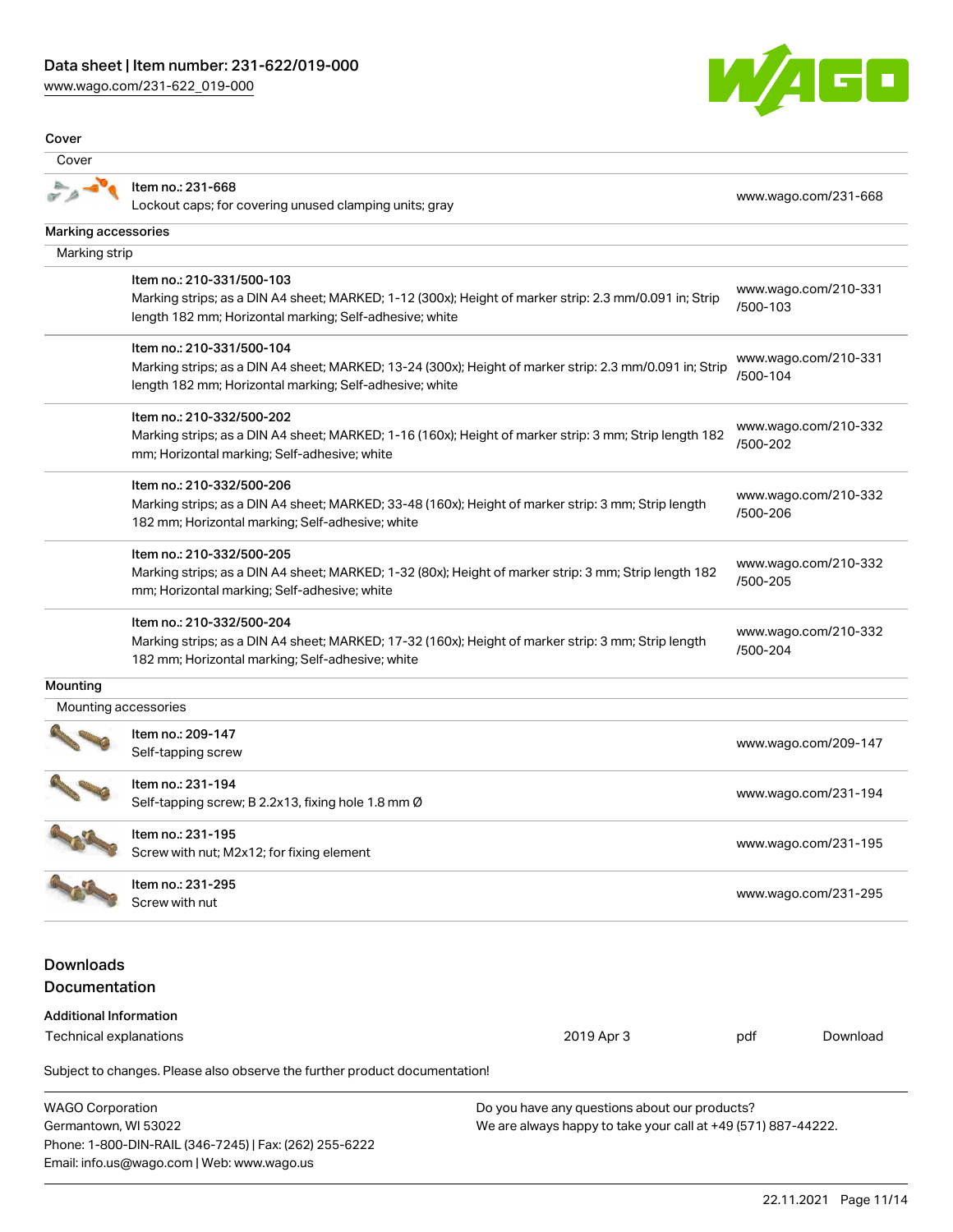[www.wago.com/231-622\\_019-000](http://www.wago.com/231-622_019-000)



| Cover                                                   |                                                                                                                                                                                                 |                                                                                                                |                      |                      |
|---------------------------------------------------------|-------------------------------------------------------------------------------------------------------------------------------------------------------------------------------------------------|----------------------------------------------------------------------------------------------------------------|----------------------|----------------------|
| Cover                                                   |                                                                                                                                                                                                 |                                                                                                                |                      |                      |
|                                                         | Item no.: 231-668<br>Lockout caps; for covering unused clamping units; gray                                                                                                                     |                                                                                                                |                      | www.wago.com/231-668 |
| Marking accessories                                     |                                                                                                                                                                                                 |                                                                                                                |                      |                      |
| Marking strip                                           |                                                                                                                                                                                                 |                                                                                                                |                      |                      |
|                                                         | Item no.: 210-331/500-103<br>Marking strips; as a DIN A4 sheet; MARKED; 1-12 (300x); Height of marker strip: 2.3 mm/0.091 in; Strip<br>length 182 mm; Horizontal marking; Self-adhesive; white  |                                                                                                                | /500-103             | www.wago.com/210-331 |
|                                                         | Item no.: 210-331/500-104<br>Marking strips; as a DIN A4 sheet; MARKED; 13-24 (300x); Height of marker strip: 2.3 mm/0.091 in; Strip<br>length 182 mm; Horizontal marking; Self-adhesive; white |                                                                                                                | /500-104             | www.wago.com/210-331 |
|                                                         | Item no.: 210-332/500-202<br>Marking strips; as a DIN A4 sheet; MARKED; 1-16 (160x); Height of marker strip: 3 mm; Strip length 182<br>mm; Horizontal marking; Self-adhesive; white             |                                                                                                                | /500-202             | www.wago.com/210-332 |
|                                                         | Item no.: 210-332/500-206<br>Marking strips; as a DIN A4 sheet; MARKED; 33-48 (160x); Height of marker strip: 3 mm; Strip length<br>182 mm; Horizontal marking; Self-adhesive; white            |                                                                                                                | /500-206             | www.wago.com/210-332 |
|                                                         | Item no.: 210-332/500-205<br>Marking strips; as a DIN A4 sheet; MARKED; 1-32 (80x); Height of marker strip: 3 mm; Strip length 182<br>mm; Horizontal marking; Self-adhesive; white              |                                                                                                                | /500-205             | www.wago.com/210-332 |
|                                                         | Item no.: 210-332/500-204<br>Marking strips; as a DIN A4 sheet; MARKED; 17-32 (160x); Height of marker strip: 3 mm; Strip length<br>182 mm; Horizontal marking; Self-adhesive; white            |                                                                                                                | /500-204             | www.wago.com/210-332 |
| Mounting                                                |                                                                                                                                                                                                 |                                                                                                                |                      |                      |
| Mounting accessories                                    |                                                                                                                                                                                                 |                                                                                                                |                      |                      |
|                                                         | Item no.: 209-147<br>Self-tapping screw                                                                                                                                                         |                                                                                                                |                      | www.wago.com/209-147 |
|                                                         | Item no.: 231-194<br>Self-tapping screw; B 2.2x13, fixing hole 1.8 mm Ø                                                                                                                         |                                                                                                                |                      | www.wago.com/231-194 |
|                                                         | Item no.: 231-195<br>Screw with nut; M2x12; for fixing element                                                                                                                                  |                                                                                                                |                      | www.wago.com/231-195 |
|                                                         | Item no.: 231-295<br>Screw with nut                                                                                                                                                             |                                                                                                                | www.wago.com/231-295 |                      |
| <b>Downloads</b><br>Documentation                       |                                                                                                                                                                                                 |                                                                                                                |                      |                      |
| <b>Additional Information</b><br>Technical explanations |                                                                                                                                                                                                 | 2019 Apr 3                                                                                                     | pdf                  | Download             |
|                                                         | Subject to changes. Please also observe the further product documentation!                                                                                                                      |                                                                                                                |                      |                      |
| <b>WAGO Corporation</b><br>Germantown, WI 53022         | Phone: 1-800-DIN-RAIL (346-7245)   Fax: (262) 255-6222<br>Email: info.us@wago.com   Web: www.wago.us                                                                                            | Do you have any questions about our products?<br>We are always happy to take your call at +49 (571) 887-44222. |                      |                      |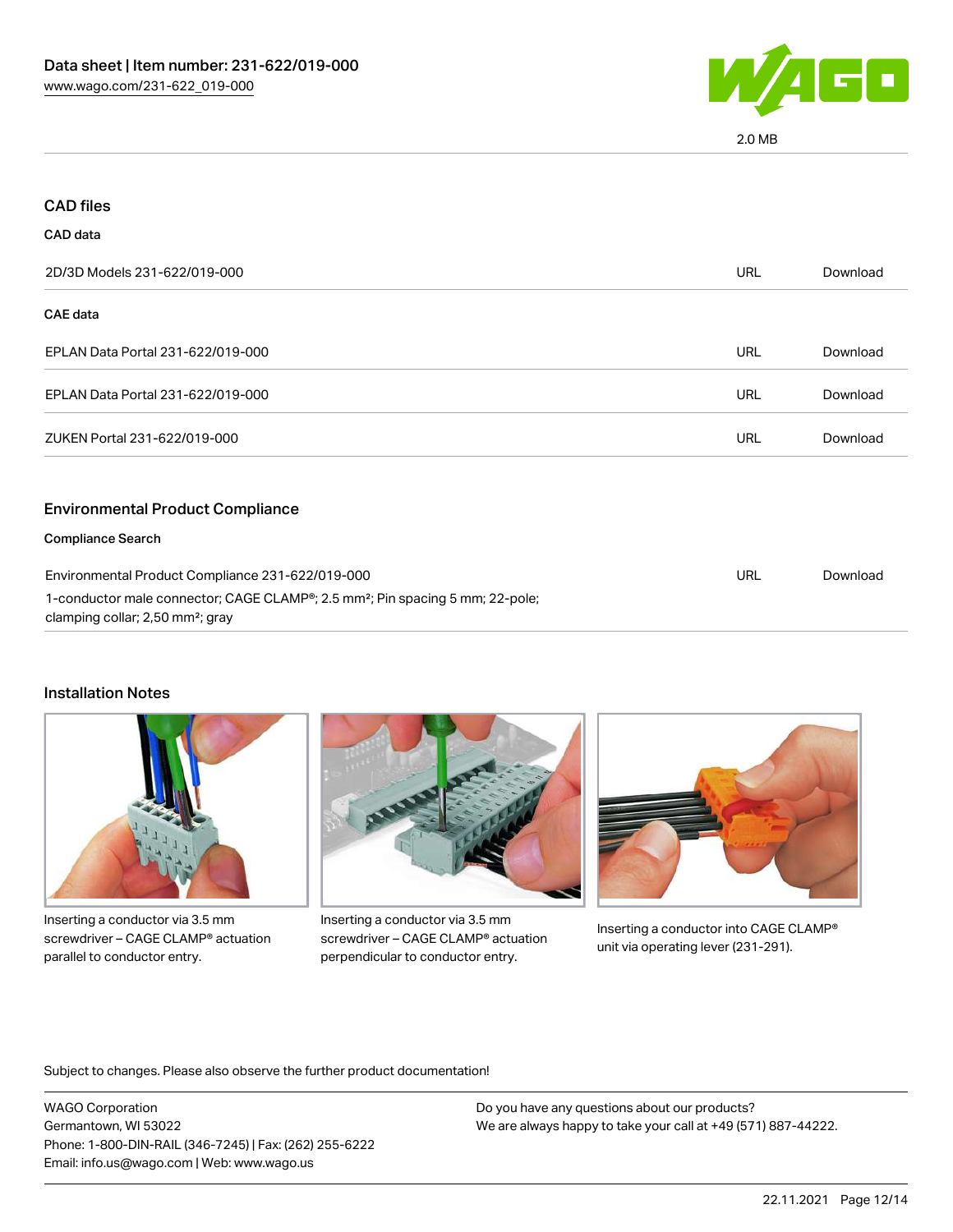

2.0 MB

| <b>CAD files</b>                                                                                                                          |            |          |
|-------------------------------------------------------------------------------------------------------------------------------------------|------------|----------|
| CAD data                                                                                                                                  |            |          |
| 2D/3D Models 231-622/019-000                                                                                                              | <b>URL</b> | Download |
| CAE data                                                                                                                                  |            |          |
| EPLAN Data Portal 231-622/019-000                                                                                                         | <b>URL</b> | Download |
| EPLAN Data Portal 231-622/019-000                                                                                                         | <b>URL</b> | Download |
| ZUKEN Portal 231-622/019-000                                                                                                              | <b>URL</b> | Download |
| <b>Environmental Product Compliance</b>                                                                                                   |            |          |
| <b>Compliance Search</b>                                                                                                                  |            |          |
| Environmental Product Compliance 231-622/019-000                                                                                          |            | Download |
| 1-conductor male connector; CAGE CLAMP®; 2.5 mm <sup>2</sup> ; Pin spacing 5 mm; 22-pole;<br>clamping collar; 2,50 mm <sup>2</sup> ; gray |            |          |

#### Installation Notes



Inserting a conductor via 3.5 mm screwdriver – CAGE CLAMP® actuation parallel to conductor entry.



Inserting a conductor via 3.5 mm screwdriver – CAGE CLAMP® actuation perpendicular to conductor entry.



Inserting a conductor into CAGE CLAMP® unit via operating lever (231-291).

Subject to changes. Please also observe the further product documentation!

WAGO Corporation Germantown, WI 53022 Phone: 1-800-DIN-RAIL (346-7245) | Fax: (262) 255-6222 Email: info.us@wago.com | Web: www.wago.us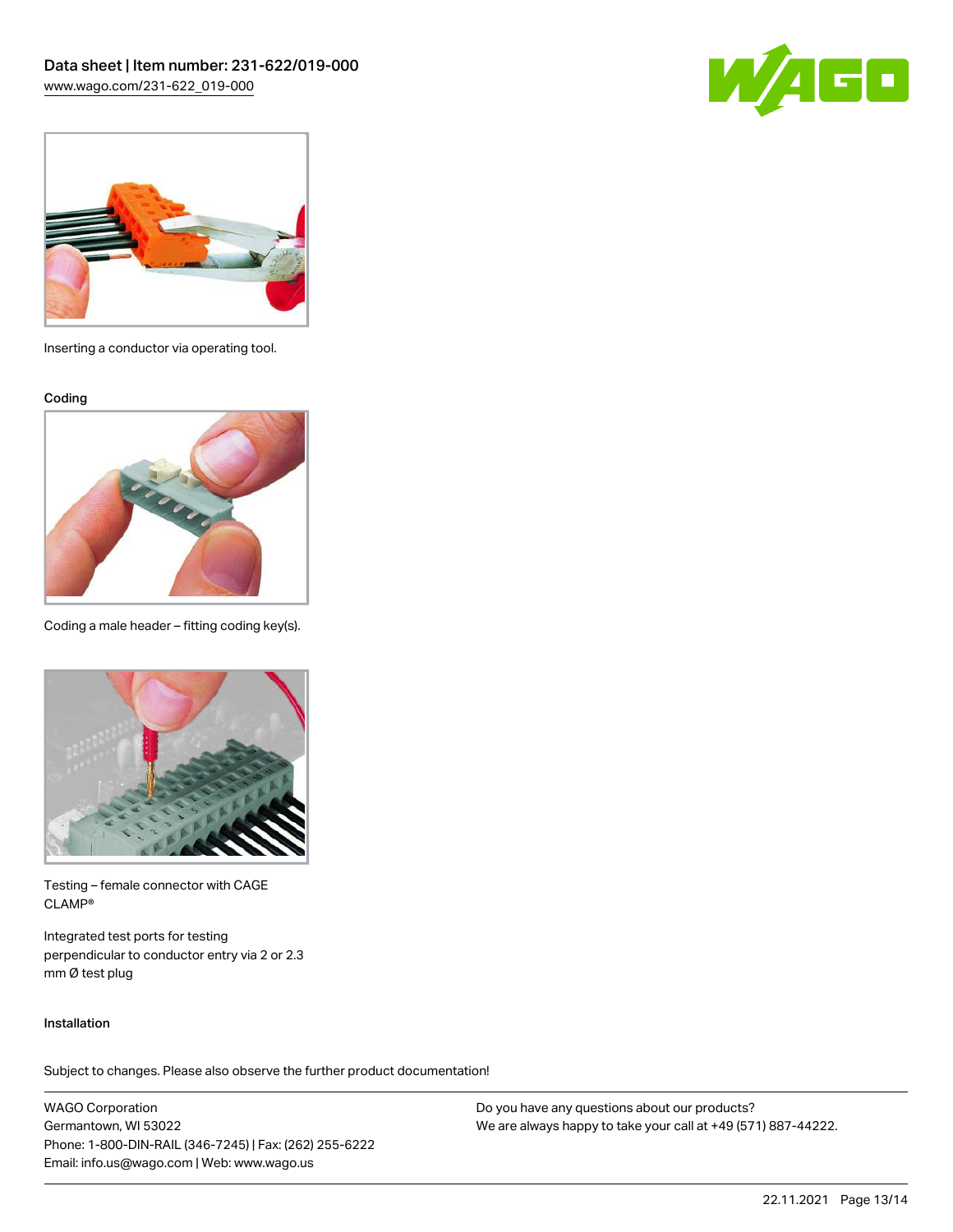



Inserting a conductor via operating tool.

Coding



Coding a male header – fitting coding key(s).



Testing – female connector with CAGE CLAMP®

Integrated test ports for testing perpendicular to conductor entry via 2 or 2.3 mm Ø test plug

#### Installation

Subject to changes. Please also observe the further product documentation!

WAGO Corporation Germantown, WI 53022 Phone: 1-800-DIN-RAIL (346-7245) | Fax: (262) 255-6222 Email: info.us@wago.com | Web: www.wago.us